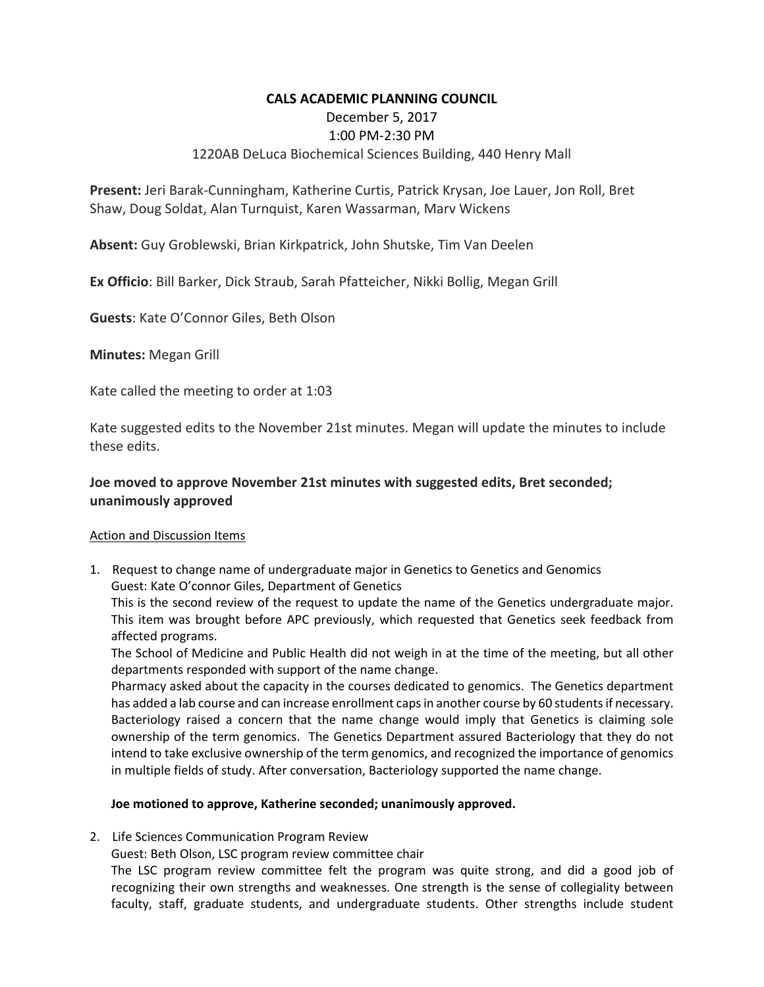## **CALS ACADEMIC PLANNING COUNCIL**

December 5, 2017

## 1:00 PM‐2:30 PM

# 1220AB DeLuca Biochemical Sciences Building, 440 Henry Mall

**Present:** Jeri Barak‐Cunningham, Katherine Curtis, Patrick Krysan, Joe Lauer, Jon Roll, Bret Shaw, Doug Soldat, Alan Turnquist, Karen Wassarman, Marv Wickens

**Absent:** Guy Groblewski, Brian Kirkpatrick, John Shutske, Tim Van Deelen

**Ex Officio**: Bill Barker, Dick Straub, Sarah Pfatteicher, Nikki Bollig, Megan Grill

**Guests**: Kate O'Connor Giles, Beth Olson

**Minutes:** Megan Grill

Kate called the meeting to order at 1:03

Kate suggested edits to the November 21st minutes. Megan will update the minutes to include these edits.

# **Joe moved to approve November 21st minutes with suggested edits, Bret seconded; unanimously approved**

### Action and Discussion Items

1. Request to change name of undergraduate major in Genetics to Genetics and Genomics Guest: Kate O'connor Giles, Department of Genetics

This is the second review of the request to update the name of the Genetics undergraduate major. This item was brought before APC previously, which requested that Genetics seek feedback from affected programs.

The School of Medicine and Public Health did not weigh in at the time of the meeting, but all other departments responded with support of the name change.

Pharmacy asked about the capacity in the courses dedicated to genomics. The Genetics department has added a lab course and can increase enrollment caps in another course by 60 students if necessary. Bacteriology raised a concern that the name change would imply that Genetics is claiming sole ownership of the term genomics. The Genetics Department assured Bacteriology that they do not intend to take exclusive ownership of the term genomics, and recognized the importance of genomics in multiple fields of study. After conversation, Bacteriology supported the name change.

### **Joe motioned to approve, Katherine seconded; unanimously approved.**

2. Life Sciences Communication Program Review

Guest: Beth Olson, LSC program review committee chair

The LSC program review committee felt the program was quite strong, and did a good job of recognizing their own strengths and weaknesses. One strength is the sense of collegiality between faculty, staff, graduate students, and undergraduate students. Other strengths include student